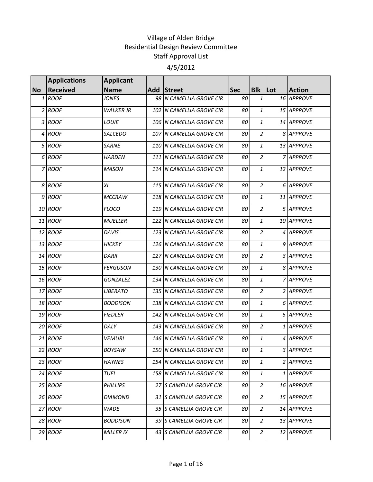|           | <b>Applications</b> | <b>Applicant</b> |                          |            |                |               |
|-----------|---------------------|------------------|--------------------------|------------|----------------|---------------|
| <b>No</b> | <b>Received</b>     | <b>Name</b>      | Add Street               | <b>Sec</b> | <b>Blk</b> Lot | <b>Action</b> |
|           | 1 ROOF              | <b>JONES</b>     | 98 N CAMELLIA GROVE CIR  | 80         | 1              | 16 APPROVE    |
|           | 2 ROOF              | <b>WALKER JR</b> | 102 N CAMELLIA GROVE CIR | 80         | 1              | 15 APPROVE    |
|           | 3 ROOF              | LOUIE            | 106 N CAMELLIA GROVE CIR | 80         | 1              | 14 APPROVE    |
|           | 4 ROOF              | SALCEDO          | 107 N CAMELLIA GROVE CIR | 80         | $\overline{2}$ | 8 APPROVE     |
|           | 5 ROOF              | <b>SARNE</b>     | 110 N CAMELLIA GROVE CIR | 80         | 1              | 13 APPROVE    |
|           | 6 ROOF              | <b>HARDEN</b>    | 111 N CAMELLIA GROVE CIR | 80         | $\overline{2}$ | 7 APPROVE     |
|           | 7 ROOF              | <b>MASON</b>     | 114 N CAMELLIA GROVE CIR | 80         | 1              | 12 APPROVE    |
|           | 8 ROOF              | ΧI               | 115 N CAMELLIA GROVE CIR | 80         | $\overline{2}$ | 6 APPROVE     |
|           | 9 ROOF              | <b>MCCRAW</b>    | 118 N CAMELLIA GROVE CIR | 80         | 1              | 11 APPROVE    |
|           | 10 ROOF             | <b>FLOCO</b>     | 119 N CAMELLIA GROVE CIR | 80         | $\overline{c}$ | 5 APPROVE     |
|           | 11 ROOF             | <b>MUELLER</b>   | 122 N CAMELLIA GROVE CIR | 80         | 1              | 10 APPROVE    |
|           | 12 ROOF             | <b>DAVIS</b>     | 123 N CAMELLIA GROVE CIR | 80         | 2              | 4 APPROVE     |
|           | 13 ROOF             | <b>HICKEY</b>    | 126 N CAMELLIA GROVE CIR | 80         | 1              | 9 APPROVE     |
|           | 14 ROOF             | DARR             | 127 N CAMELLIA GROVE CIR | 80         | $\overline{2}$ | 3 APPROVE     |
|           | 15 ROOF             | <b>FERGUSON</b>  | 130 N CAMELLIA GROVE CIR | 80         | 1              | 8 APPROVE     |
|           | 16 ROOF             | <b>GONZALEZ</b>  | 134 N CAMELLIA GROVE CIR | 80         | 1              | 7 APPROVE     |
|           | 17 ROOF             | <b>LIBERATO</b>  | 135 N CAMELLIA GROVE CIR | 80         | $\overline{2}$ | 2 APPROVE     |
|           | 18 ROOF             | <b>BODDISON</b>  | 138 N CAMELLIA GROVE CIR | 80         | 1              | 6 APPROVE     |
|           | 19 ROOF             | <b>FIEDLER</b>   | 142 N CAMELLIA GROVE CIR | 80         | 1              | 5 APPROVE     |
|           | 20 ROOF             | DALY             | 143 N CAMELLIA GROVE CIR | 80         | $\overline{2}$ | 1 APPROVE     |
|           | $21$ ROOF           | <b>VEMURI</b>    | 146 N CAMELLIA GROVE CIR | 80         | 1              | 4 APPROVE     |
|           | 22 ROOF             | BOYSAW           | 150 N CAMELLIA GROVE CIR | 80         | $1\vert$       | 3 APPROVE     |
|           | 23 ROOF             | <b>HAYNES</b>    | 154 N CAMELLIA GROVE CIR | 80         | 1              | 2 APPROVE     |
|           | 24 ROOF             | TUEL             | 158 N CAMELLIA GROVE CIR | 80         | 1              | 1 APPROVE     |
|           | 25 ROOF             | PHILLIPS         | 27 S CAMELLIA GROVE CIR  | 80         | $\overline{2}$ | 16 APPROVE    |
|           | 26 ROOF             | DIAMOND          | 31 S CAMELLIA GROVE CIR  | 80         | 2              | 15 APPROVE    |
|           | 27 ROOF             | <b>WADE</b>      | 35 S CAMELLIA GROVE CIR  | 80         | 2              | 14 APPROVE    |
|           | 28 ROOF             | <b>BODDISON</b>  | 39 S CAMELLIA GROVE CIR  | 80         | 2              | 13 APPROVE    |
|           | 29 ROOF             | MILLER IX        | 43 S CAMELLIA GROVE CIR  | 80         | $\overline{a}$ | 12 APPROVE    |
|           |                     |                  |                          |            |                |               |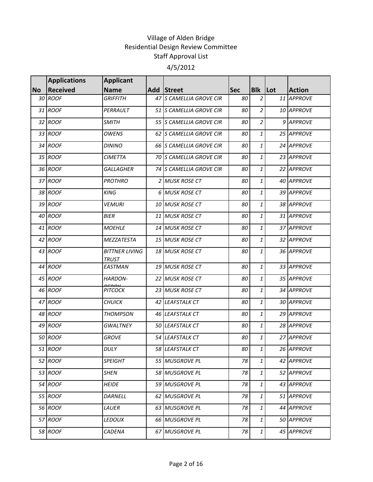|           | <b>Applications</b> | <b>Applicant</b>                      |                         |            |                  |               |
|-----------|---------------------|---------------------------------------|-------------------------|------------|------------------|---------------|
| <b>No</b> | <b>Received</b>     | <b>Name</b>                           | Add Street              | <b>Sec</b> | <b>Blk Lot</b>   | <b>Action</b> |
|           | 30 ROOF             | <b>GRIFFITH</b>                       | 47 S CAMELLIA GROVE CIR | 80         | 2                | 11 APPROVE    |
|           | 31 ROOF             | PERRAULT                              | 51 S CAMELLIA GROVE CIR | 80         | $\overline{2}$   | 10 APPROVE    |
|           | 32 ROOF             | <b>SMITH</b>                          | 55 S CAMELLIA GROVE CIR | 80         | 2                | 9 APPROVE     |
|           | 33 ROOF             | <b>OWENS</b>                          | 62 S CAMELLIA GROVE CIR | 80         | 1                | 25 APPROVE    |
|           | 34 ROOF             | <b>DININO</b>                         | 66 S CAMELLIA GROVE CIR | 80         | 1                | 24 APPROVE    |
|           | 35 ROOF             | <b>CIMETTA</b>                        | 70 S CAMELLIA GROVE CIR | 80         | $\mathbf{1}$     | 23 APPROVE    |
|           | 36 ROOF             | <b>GALLAGHER</b>                      | 74 S CAMELLIA GROVE CIR | 80         | 1                | 22 APPROVE    |
|           | 37 ROOF             | <b>PROTHRO</b>                        | 2 MUSK ROSE CT          | 80         | 1                | 40 APPROVE    |
|           | 38 ROOF             | <b>KING</b>                           | 6 MUSK ROSE CT          | 80         | $\mathbf{1}$     | 39 APPROVE    |
|           | 39 ROOF             | <b>VEMURI</b>                         | 10 MUSK ROSE CT         | 80         | 1                | 38 APPROVE    |
|           | 40 ROOF             | <b>BIER</b>                           | 11 MUSK ROSE CT         | 80         | 1                | 31 APPROVE    |
|           | 41 ROOF             | <b>MOEHLE</b>                         | 14 MUSK ROSE CT         | 80         | 1                | 37 APPROVE    |
|           | 42 ROOF             | MEZZATESTA                            | 15 MUSK ROSE CT         | 80         | 1                | 32 APPROVE    |
|           | 43 ROOF             | <b>BITTNER LIVING</b><br><b>TRUST</b> | 18 MUSK ROSE CT         | 80         | $\mathbf{1}$     | 36 APPROVE    |
|           | 44 ROOF             | <b>EASTMAN</b>                        | 19 MUSK ROSE CT         | 80         | $\mathbf{1}$     | 33 APPROVE    |
|           | 45 ROOF             | HARDON-                               | 22 MUSK ROSE CT         | 80         | 1                | 35 APPROVE    |
|           | 46 ROOF             | <b>PITCOCK</b>                        | 23 MUSK ROSE CT         | 80         | 1                | 34 APPROVE    |
|           | 47 ROOF             | <b>CHUICK</b>                         | 42 LEAFSTALK CT         | 80         | 1                | 30 APPROVE    |
|           | 48 ROOF             | <b>THOMPSON</b>                       | 46 LEAFSTALK CT         | 80         | $\mathbf{1}$     | 29 APPROVE    |
|           | 49 ROOF             | <b>GWALTNEY</b>                       | 50 LEAFSTALK CT         | 80         | 1                | 28 APPROVE    |
|           | 50 ROOF             | <b>GROVE</b>                          | 54 LEAFSTALK CT         | 80         | 1                | 27 APPROVE    |
|           | 51 ROOF             | DULY                                  | 58 LEAFSTALK CT         | 80         | $\boldsymbol{1}$ | 26 APPROVE    |
|           | 52 ROOF             | SPEIGHT                               | 55 MUSGROVE PL          | 78         | $\mathbf{1}$     | 42 APPROVE    |
|           | 53 ROOF             | <b>SHEN</b>                           | 58 MUSGROVE PL          | 78         | 1                | 52 APPROVE    |
|           | 54 ROOF             | <b>HEIDE</b>                          | 59 MUSGROVE PL          | 78         | 1                | 43 APPROVE    |
|           | 55 ROOF             | DARNELL                               | 62 MUSGROVE PL          | 78         | 1                | 51 APPROVE    |
|           | 56 ROOF             | LAUER                                 | 63 MUSGROVE PL          | 78         | 1                | 44 APPROVE    |
|           | 57 ROOF             | <b>LEDOUX</b>                         | 66 MUSGROVE PL          | 78         | $\mathbf{1}$     | 50 APPROVE    |
|           | 58 ROOF             | CADENA                                | 67 MUSGROVE PL          | 78         | $\mathbf{1}$     | 45 APPROVE    |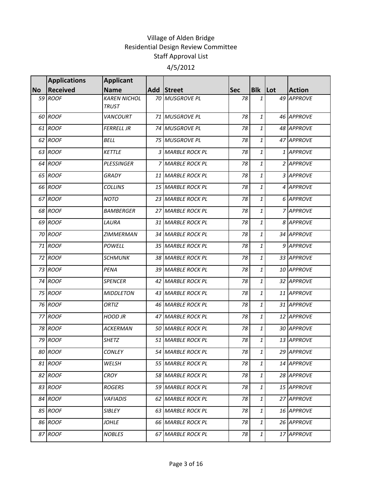|           | <b>Applications</b> | <b>Applicant</b>                    |                   |            |                           |               |
|-----------|---------------------|-------------------------------------|-------------------|------------|---------------------------|---------------|
| <b>No</b> | <b>Received</b>     | <b>Name</b>                         | Add Street        | <b>Sec</b> | <b>Blk</b> Lot            | <b>Action</b> |
|           | 59 ROOF             | <b>KAREN NICHOL</b><br><b>TRUST</b> | 70 MUSGROVE PL    | 78         | 1                         | 49 APPROVE    |
|           | 60 ROOF             | <b>VANCOURT</b>                     | 71 MUSGROVE PL    | 78         | 1                         | 46 APPROVE    |
|           | 61 ROOF             | <b>FERRELL JR</b>                   | 74 MUSGROVE PL    | 78         | 1                         | 48 APPROVE    |
|           | 62 ROOF             | <b>BELL</b>                         | 75 MUSGROVE PL    | 78         | 1                         | 47 APPROVE    |
|           | 63 ROOF             | <b>KETTLE</b>                       | 3 MARBLE ROCK PL  | 78         | 1                         | 1 APPROVE     |
|           | 64 ROOF             | <b>PLESSINGER</b>                   | 7 MARBLE ROCK PL  | 78         | $\mathbf{1}$              | 2 APPROVE     |
|           | 65 ROOF             | <b>GRADY</b>                        | 11 MARBLE ROCK PL | 78         | 1                         | 3 APPROVE     |
|           | 66 ROOF             | <b>COLLINS</b>                      | 15 MARBLE ROCK PL | 78         | 1                         | 4 APPROVE     |
|           | 67 ROOF             | <b>NOTO</b>                         | 23 MARBLE ROCK PL | 78         | $\mathbf{1}$              | 6 APPROVE     |
|           | 68 ROOF             | <b>BAMBERGER</b>                    | 27 MARBLE ROCK PL | 78         | 1                         | 7 APPROVE     |
|           | 69 ROOF             | LAURA                               | 31 MARBLE ROCK PL | 78         | $\mathbf{1}$              | 8 APPROVE     |
|           | 70 ROOF             | <b>ZIMMERMAN</b>                    | 34 MARBLE ROCK PL | 78         | 1                         | 34 APPROVE    |
|           | 71 ROOF             | POWELL                              | 35 MARBLE ROCK PL | 78         | 1                         | 9 APPROVE     |
|           | 72 ROOF             | <b>SCHMUNK</b>                      | 38 MARBLE ROCK PL | 78         | 1                         | 33 APPROVE    |
|           | 73 ROOF             | PENA                                | 39 MARBLE ROCK PL | 78         | $\mathbf{1}$              | 10 APPROVE    |
|           | 74 ROOF             | <b>SPENCER</b>                      | 42 MARBLE ROCK PL | 78         | $\mathbf{1}$              | 32 APPROVE    |
|           | 75 ROOF             | <b>MIDDLETON</b>                    | 43 MARBLE ROCK PL | 78         | 1                         | 11 APPROVE    |
|           | 76 ROOF             | ORTIZ                               | 46 MARBLE ROCK PL | 78         | 1                         | 31 APPROVE    |
|           | 77 ROOF             | <b>HOOD JR</b>                      | 47 MARBLE ROCK PL | 78         | $\mathbf{1}$              | 12 APPROVE    |
|           | 78 ROOF             | <b>ACKERMAN</b>                     | 50 MARBLE ROCK PL | 78         | $\mathbf{1}$              | 30 APPROVE    |
|           | 79 ROOF             | <b>SHETZ</b>                        | 51 MARBLE ROCK PL | 78         | 1                         | 13 APPROVE    |
|           | 80 ROOF             | <b>CONLEY</b>                       | 54 MARBLE ROCK PL | 78         | $\mathbf{1}$              | 29 APPROVE    |
|           | 81 ROOF             | WELSH                               | 55 MARBLE ROCK PL | 78         | 1                         | 14 APPROVE    |
|           | 82 ROOF             | <b>CROY</b>                         | 58 MARBLE ROCK PL | 78         | 1                         | 28 APPROVE    |
|           | 83 ROOF             | <b>ROGERS</b>                       | 59 MARBLE ROCK PL | 78         | 1                         | 15 APPROVE    |
|           | 84 ROOF             | <b>VAFIADIS</b>                     | 62 MARBLE ROCK PL | 78         | 1                         | 27 APPROVE    |
|           | 85 ROOF             | SIBLEY                              | 63 MARBLE ROCK PL | 78         | 1                         | 16 APPROVE    |
|           | 86 ROOF             | <b>JOHLE</b>                        | 66 MARBLE ROCK PL | 78         | 1                         | 26 APPROVE    |
|           | 87 ROOF             | <b>NOBLES</b>                       | 67 MARBLE ROCK PL | 78         | $\ensuremath{\mathbf{1}}$ | 17 APPROVE    |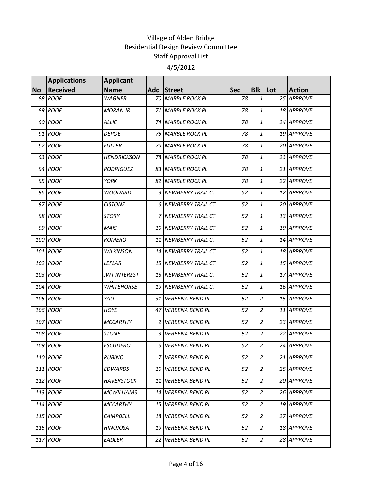|           | <b>Applications</b> | <b>Applicant</b>    |      |                          |            |                |               |
|-----------|---------------------|---------------------|------|--------------------------|------------|----------------|---------------|
| <b>No</b> | <b>Received</b>     | <b>Name</b>         |      | Add Street               | <b>Sec</b> | <b>Blk</b> Lot | <b>Action</b> |
|           | 88 ROOF             | <b>WAGNER</b>       |      | 70 MARBLE ROCK PL        | 78         | $\mathbf{1}$   | 25 APPROVE    |
|           | 89 ROOF             | <b>MORAN JR</b>     |      | 71 MARBLE ROCK PL        | 78         | 1              | 18 APPROVE    |
|           | 90 ROOF             | <b>ALLIE</b>        |      | 74 MARBLE ROCK PL        | 78         | 1              | 24 APPROVE    |
|           | 91 ROOF             | <b>DEPOE</b>        |      | 75 MARBLE ROCK PL        | 78         | $\mathbf{1}$   | 19 APPROVE    |
|           | 92 ROOF             | <b>FULLER</b>       |      | 79 MARBLE ROCK PL        | 78         | $\mathbf{1}$   | 20 APPROVE    |
|           | 93 ROOF             | <b>HENDRICKSON</b>  |      | <b>78 MARBLE ROCK PL</b> | 78         | $\mathbf{1}$   | 23 APPROVE    |
|           | 94 ROOF             | <b>RODRIGUEZ</b>    |      | 83 MARBLE ROCK PL        | 78         | 1              | 21 APPROVE    |
|           | 95 ROOF             | <b>YORK</b>         |      | 82 MARBLE ROCK PL        | 78         | 1              | 22 APPROVE    |
|           | 96 ROOF             | <b>WOODARD</b>      |      | 3 NEWBERRY TRAIL CT      | 52         | $\mathbf{1}$   | 12 APPROVE    |
|           | 97 ROOF             | <b>CISTONE</b>      |      | 6 NEWBERRY TRAIL CT      | 52         | 1              | 20 APPROVE    |
|           | 98 ROOF             | <b>STORY</b>        |      | 7 NEWBERRY TRAIL CT      | 52         | 1              | 13 APPROVE    |
|           | 99 ROOF             | <b>MAIS</b>         |      | 10 NEWBERRY TRAIL CT     | 52         | $\mathbf{1}$   | 19 APPROVE    |
|           | 100 ROOF            | <b>ROMERO</b>       |      | 11 NEWBERRY TRAIL CT     | 52         | $\mathbf{1}$   | 14 APPROVE    |
|           | 101 ROOF            | <b>WILKINSON</b>    |      | 14 NEWBERRY TRAIL CT     | 52         | $\mathbf{1}$   | 18 APPROVE    |
|           | 102 ROOF            | <b>LEFLAR</b>       |      | 15 NEWBERRY TRAIL CT     | 52         | $\mathbf{1}$   | 15 APPROVE    |
|           | 103 ROOF            | <b>JWT INTEREST</b> |      | 18 NEWBERRY TRAIL CT     | 52         | 1              | 17 APPROVE    |
|           | 104 ROOF            | <b>WHITEHORSE</b>   |      | 19 NEWBERRY TRAIL CT     | 52         | 1              | 16 APPROVE    |
|           | 105 ROOF            | YAU                 | 31   | <b>VERBENA BEND PL</b>   | 52         | $\overline{c}$ | 15 APPROVE    |
|           | 106 ROOF            | <b>HOYE</b>         |      | 47 VERBENA BEND PL       | 52         | $\overline{c}$ | 11 APPROVE    |
|           | 107 ROOF            | <b>MCCARTHY</b>     | 2    | <b>VERBENA BEND PL</b>   | 52         | $\overline{c}$ | 23 APPROVE    |
|           | 108 ROOF            | <b>STONE</b>        | 3    | <b>VERBENA BEND PL</b>   | 52         | $\overline{c}$ | 22 APPROVE    |
|           | 109 ROOF            | <b>ESCUDERO</b>     | 6    | <b>VERBENA BEND PL</b>   | 52         | $\overline{c}$ | 24 APPROVE    |
|           | 110 ROOF            | <b>RUBINO</b>       | 7    | <b>VERBENA BEND PL</b>   | 52         | $\overline{2}$ | 21 APPROVE    |
|           | 111 ROOF            | <b>EDWARDS</b>      |      | 10 VERBENA BEND PL       | 52         | $\overline{a}$ | 25 APPROVE    |
|           | 112 ROOF            | <b>HAVERSTOCK</b>   | 11 I | <b>VERBENA BEND PL</b>   | 52         | $\overline{2}$ | 20 APPROVE    |
|           | 113 ROOF            | <b>MCWILLIAMS</b>   | 14   | VERBENA BEND PL          | 52         | $\overline{2}$ | 26 APPROVE    |
|           | 114 ROOF            | <b>MCCARTHY</b>     | 15   | VERBENA BEND PL          | 52         | $\overline{2}$ | 19 APPROVE    |
|           | 115 ROOF            | CAMPBELL            |      | 18 VERBENA BEND PL       | 52         | 2              | 27 APPROVE    |
|           | 116 ROOF            | <b>HINOJOSA</b>     | 19   | <b>VERBENA BEND PL</b>   | 52         | $\overline{a}$ | 18 APPROVE    |
|           | 117 ROOF            | EADLER              | 22   | <b>VERBENA BEND PL</b>   | 52         | $\overline{a}$ | 28 APPROVE    |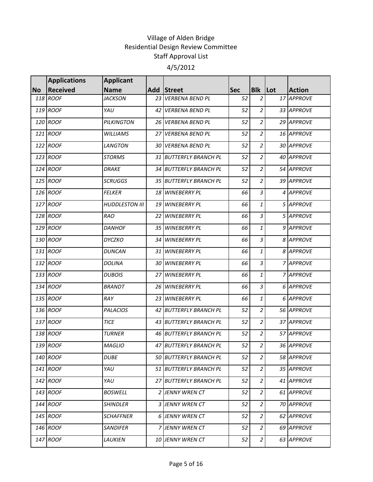|           | <b>Applications</b> | <b>Applicant</b>      |                 |                        |            |                  |         |               |
|-----------|---------------------|-----------------------|-----------------|------------------------|------------|------------------|---------|---------------|
| <b>No</b> | <b>Received</b>     | <b>Name</b>           |                 | Add Street             | <b>Sec</b> | <b>Blk</b>       | $ $ Lot | <b>Action</b> |
|           | 118 ROOF            | <b>JACKSON</b>        | 23 <sup>1</sup> | <b>VERBENA BEND PL</b> | 52         | $\overline{2}$   |         | 17 APPROVE    |
|           | 119 ROOF            | YAU                   |                 | 42 VERBENA BEND PL     | 52         | $\boldsymbol{2}$ |         | 33 APPROVE    |
|           | 120 ROOF            | PILKINGTON            | 26 I            | <b>VERBENA BEND PL</b> | 52         | $\overline{2}$   |         | 29 APPROVE    |
|           | 121 ROOF            | WILLIAMS              |                 | 27 VERBENA BEND PL     | 52         | $\overline{2}$   |         | 16 APPROVE    |
|           | 122 ROOF            | LANGTON               |                 | 30 VERBENA BEND PL     | 52         | $\overline{2}$   |         | 30 APPROVE    |
|           | 123 ROOF            | <b>STORMS</b>         |                 | 31 BUTTERFLY BRANCH PL | 52         | $\overline{c}$   |         | 40 APPROVE    |
|           | 124 ROOF            | <b>DRAKE</b>          |                 | 34 BUTTERFLY BRANCH PL | 52         | $\overline{a}$   |         | 54 APPROVE    |
|           | 125 ROOF            | <b>SCRUGGS</b>        |                 | 35 BUTTERFLY BRANCH PL | 52         | $\overline{c}$   |         | 39 APPROVE    |
|           | 126 ROOF            | <b>FELKER</b>         |                 | 18 WINEBERRY PL        | 66         | $\overline{3}$   |         | 4 APPROVE     |
|           | 127 ROOF            | <b>HUDDLESTON III</b> |                 | 19 WINEBERRY PL        | 66         | $\mathbf{1}$     |         | 5 APPROVE     |
|           | 128 ROOF            | <b>RAO</b>            |                 | 22 WINEBERRY PL        | 66         | 3                |         | 5 APPROVE     |
|           | 129 ROOF            | <b>DANHOF</b>         |                 | 35 WINEBERRY PL        | 66         | $\mathbf{1}$     |         | 9 APPROVE     |
|           | 130 ROOF            | <b>DYCZKO</b>         | 34              | <b>WINEBERRY PL</b>    | 66         | $\overline{3}$   |         | 8 APPROVE     |
|           | 131 ROOF            | <b>DUNCAN</b>         |                 | 31 WINEBERRY PL        | 66         | $\mathbf{1}$     |         | 8 APPROVE     |
|           | 132 ROOF            | <b>DOLINA</b>         |                 | 30 WINEBERRY PL        | 66         | $\overline{3}$   |         | 7 APPROVE     |
|           | 133 ROOF            | <b>DUBOIS</b>         |                 | 27 WINEBERRY PL        | 66         | $\mathbf{1}$     |         | 7 APPROVE     |
|           | 134 ROOF            | <b>BRANDT</b>         | 26              | <b>WINEBERRY PL</b>    | 66         | $\overline{3}$   |         | 6 APPROVE     |
|           | 135 ROOF            | RAY                   |                 | 23 WINEBERRY PL        | 66         | $\mathbf{1}$     |         | 6 APPROVE     |
|           | 136 ROOF            | <b>PALACIOS</b>       |                 | 42 BUTTERFLY BRANCH PL | 52         | $\overline{2}$   |         | 56 APPROVE    |
|           | 137 ROOF            | <b>TICE</b>           |                 | 43 BUTTERFLY BRANCH PL | 52         | $\overline{c}$   |         | 37 APPROVE    |
|           | 138 ROOF            | <b>TURNER</b>         |                 | 46 BUTTERFLY BRANCH PL | 52         | $\overline{2}$   |         | 57 APPROVE    |
|           | 139 ROOF            | <b>MAGLIO</b>         |                 | 47 BUTTERFLY BRANCH PL | 52         | $\overline{2}$   |         | 36 APPROVE    |
|           | 140 ROOF            | <b>DUBE</b>           |                 | 50 BUTTERFLY BRANCH PL | 52         | $\overline{2}$   |         | 58 APPROVE    |
|           | 141 ROOF            | YAU                   |                 | 51 BUTTERFLY BRANCH PL | 52         | $\overline{a}$   |         | 35 APPROVE    |
|           | 142 ROOF            | YAU                   |                 | 27 BUTTERFLY BRANCH PL | 52         | $\overline{a}$   |         | 41 APPROVE    |
|           | 143 ROOF            | <b>BOSWELL</b>        |                 | 2 JENNY WREN CT        | 52         | 2                |         | 61 APPROVE    |
|           | 144 ROOF            | SHINDLER              |                 | 3 JENNY WREN CT        | 52         | $\overline{2}$   |         | 70 APPROVE    |
|           | 145 ROOF            | <b>SCHAFFNER</b>      |                 | 6 JENNY WREN CT        | 52         | $\overline{2}$   |         | 62 APPROVE    |
|           | 146 ROOF            | <b>SANDIFER</b>       |                 | 7 JENNY WREN CT        | 52         | $\overline{a}$   |         | 69 APPROVE    |
|           | 147 ROOF            | LAUKIEN               |                 | 10 JENNY WREN CT       | 52         | $\overline{a}$   |         | 63 APPROVE    |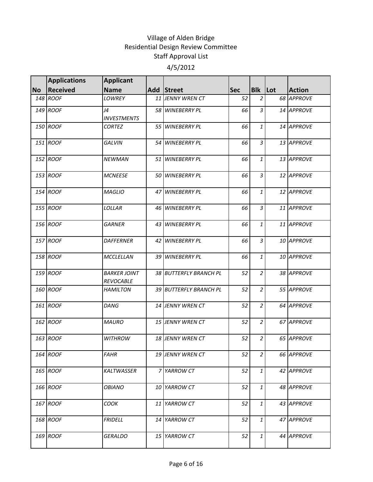|           | <b>Applications</b> | <b>Applicant</b>                        |                        |            |                |               |
|-----------|---------------------|-----------------------------------------|------------------------|------------|----------------|---------------|
| <b>No</b> | <b>Received</b>     | <b>Name</b>                             | Add Street             | <b>Sec</b> | <b>Blk Lot</b> | <b>Action</b> |
|           | 148 ROOF            | <b>LOWREY</b>                           | 11 JENNY WREN CT       | 52         | $\overline{2}$ | 68 APPROVE    |
|           | 149 ROOF            | J4<br><b>INVESTMENTS</b>                | 58 WINEBERRY PL        | 66         | $\overline{3}$ | 14 APPROVE    |
|           | 150 ROOF            | <b>CORTEZ</b>                           | 55 WINEBERRY PL        | 66         | $\mathbf{1}$   | 14 APPROVE    |
|           | 151 ROOF            | <b>GALVIN</b>                           | 54 WINEBERRY PL        | 66         | $\overline{3}$ | 13 APPROVE    |
|           | 152 ROOF            | <b>NEWMAN</b>                           | 51 WINEBERRY PL        | 66         | $\mathbf{1}$   | 13 APPROVE    |
|           | 153 ROOF            | <b>MCNEESE</b>                          | 50 WINEBERRY PL        | 66         | $\overline{3}$ | 12 APPROVE    |
|           | 154 ROOF            | <b>MAGLIO</b>                           | 47 WINEBERRY PL        | 66         | $\mathbf{1}$   | 12 APPROVE    |
|           | 155 ROOF            | LOLLAR                                  | 46 WINEBERRY PL        | 66         | $\overline{3}$ | 11 APPROVE    |
|           | 156 ROOF            | <b>GARNER</b>                           | 43 WINEBERRY PL        | 66         | $\mathbf{1}$   | 11 APPROVE    |
|           | 157 ROOF            | <b>DAFFERNER</b>                        | 42 WINEBERRY PL        | 66         | $\overline{3}$ | 10 APPROVE    |
|           | 158 ROOF            | MCCLELLAN                               | 39 WINEBERRY PL        | 66         | $\mathbf{1}$   | 10 APPROVE    |
|           | 159 ROOF            | <b>BARKER JOINT</b><br><b>REVOCABLE</b> | 38 BUTTERFLY BRANCH PL | 52         | $\overline{2}$ | 38 APPROVE    |
|           | 160 ROOF            | <b>HAMILTON</b>                         | 39 BUTTERFLY BRANCH PL | 52         | $\overline{2}$ | 55 APPROVE    |
|           | 161 ROOF            | DANG                                    | 14 JENNY WREN CT       | 52         | $\overline{2}$ | 64 APPROVE    |
|           | 162 ROOF            | <b>MAURO</b>                            | 15 JENNY WREN CT       | 52         | $\overline{2}$ | 67 APPROVE    |
|           | 163 ROOF            | <b>WITHROW</b>                          | 18 JENNY WREN CT       | 52         | $\overline{a}$ | 65 APPROVE    |
|           | 164 ROOF            | <b>FAHR</b>                             | 19 JENNY WREN CT       | 52         | 2              | 66 APPROVE    |
|           | 165 ROOF            | KALTWASSER                              | 7 YARROW CT            | 52         | $\mathbf{1}$   | 42 APPROVE    |
|           | 166 ROOF            | <b>OBIANO</b>                           | 10 YARROW CT           | 52         | $\mathbf{1}$   | 48 APPROVE    |
|           | 167 ROOF            | COOK                                    | 11 YARROW CT           | 52         | $\mathbf{1}$   | 43 APPROVE    |
|           | 168 ROOF            | <b>FRIDELL</b>                          | 14 YARROW CT           | 52         | $\mathbf{1}$   | 47 APPROVE    |
|           | 169 ROOF            | <b>GERALDO</b>                          | 15 YARROW CT           | 52         | $\mathbf{1}$   | 44 APPROVE    |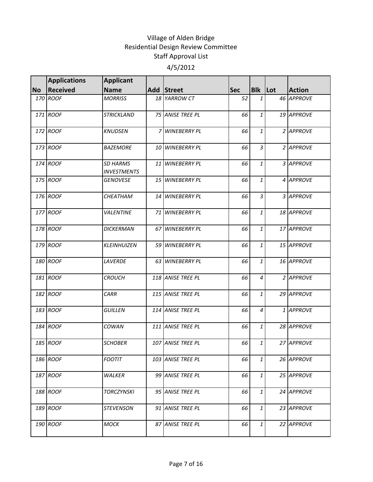|           | <b>Applications</b> | <b>Applicant</b>                      |                   |            |                 |     |               |
|-----------|---------------------|---------------------------------------|-------------------|------------|-----------------|-----|---------------|
| <b>No</b> | <b>Received</b>     | <b>Name</b>                           | Add Street        | <b>Sec</b> | <b>Blk</b>      | Lot | <b>Action</b> |
|           | 170 ROOF            | <b>MORRISS</b>                        | 18 YARROW CT      | 52         | $\mathbf{1}$    |     | 46 APPROVE    |
|           | 171 ROOF            | <b>STRICKLAND</b>                     | 75 ANISE TREE PL  | 66         | $\mathbf{1}$    |     | 19 APPROVE    |
|           | 172 ROOF            | <b>KNUDSEN</b>                        | 7 WINEBERRY PL    | 66         | $\mathbf{1}$    |     | 2 APPROVE     |
|           | 173 ROOF            | <b>BAZEMORE</b>                       | 10 WINEBERRY PL   | 66         | $\overline{3}$  |     | 2 APPROVE     |
|           | 174 ROOF            | <b>SD HARMS</b><br><b>INVESTMENTS</b> | 11 WINEBERRY PL   | 66         | $1\overline{1}$ |     | 3 APPROVE     |
|           | 175 ROOF            | <b>GENOVESE</b>                       | 15 WINEBERRY PL   | 66         | $\mathbf{1}$    |     | 4 APPROVE     |
|           | 176 ROOF            | CHEATHAM                              | 14 WINEBERRY PL   | 66         | $\overline{3}$  |     | 3 APPROVE     |
|           | 177 ROOF            | <b>VALENTINE</b>                      | 71 WINEBERRY PL   | 66         | $\mathbf{1}$    |     | 18 APPROVE    |
|           | 178 ROOF            | <b>DICKERMAN</b>                      | 67 WINEBERRY PL   | 66         | $\mathbf{1}$    |     | 17 APPROVE    |
|           | 179 ROOF            | KLEINHUIZEN                           | 59 WINEBERRY PL   | 66         | $\mathbf{1}$    |     | 15 APPROVE    |
|           | 180 ROOF            | <b>LAVERDE</b>                        | 63 WINEBERRY PL   | 66         | $\mathbf{1}$    |     | 16 APPROVE    |
|           | 181 ROOF            | <b>CROUCH</b>                         | 118 ANISE TREE PL | 66         | $\overline{4}$  |     | 2 APPROVE     |
|           | 182 ROOF            | <b>CARR</b>                           | 115 ANISE TREE PL | 66         | $\mathbf{1}$    |     | 29 APPROVE    |
|           | 183 ROOF            | <b>GUILLEN</b>                        | 114 ANISE TREE PL | 66         | $\overline{4}$  |     | 1 APPROVE     |
|           | 184 ROOF            | COWAN                                 | 111 ANISE TREE PL | 66         | $\mathbf{1}$    |     | 28 APPROVE    |
|           | 185 ROOF            | <b>SCHOBER</b>                        | 107 ANISE TREE PL | 66         | $\mathbf{1}$    |     | 27 APPROVE    |
|           | 186 ROOF            | <b>FOOTIT</b>                         | 103 ANISE TREE PL | 66         | $\mathbf{1}$    |     | 26 APPROVE    |
|           | 187 ROOF            | <b>WALKER</b>                         | 99 ANISE TREE PL  | 66         | $1\overline{ }$ |     | 25 APPROVE    |
|           | 188 ROOF            | <b>TORCZYNSKI</b>                     | 95 ANISE TREE PL  | 66         | $\mathbf{1}$    |     | 24 APPROVE    |
|           | 189 ROOF            | <b>STEVENSON</b>                      | 91 ANISE TREE PL  | 66         | $1\overline{ }$ |     | 23 APPROVE    |
|           | 190 ROOF            | <b>MOCK</b>                           | 87 ANISE TREE PL  | 66         | $\mathbf{1}$    |     | 22 APPROVE    |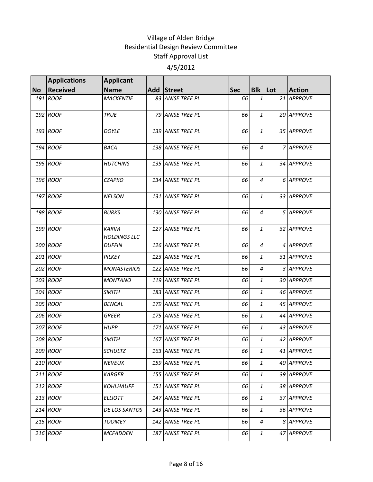|           | <b>Applications</b> | <b>Applicant</b>                    |                   |            |                |               |
|-----------|---------------------|-------------------------------------|-------------------|------------|----------------|---------------|
| <b>No</b> | Received            | <b>Name</b>                         | Add Street        | <b>Sec</b> | Blk   Lot      | <b>Action</b> |
|           | 191 ROOF            | <b>MACKENZIE</b>                    | 83 ANISE TREE PL  | 66         | 1              | 21 APPROVE    |
|           | 192 ROOF            | <b>TRUE</b>                         | 79 ANISE TREE PL  | 66         | $\mathbf{1}$   | 20 APPROVE    |
|           | 193 ROOF            | <b>DOYLE</b>                        | 139 ANISE TREE PL | 66         | $\mathbf{1}$   | 35 APPROVE    |
|           | 194 ROOF            | <b>BACA</b>                         | 138 ANISE TREE PL | 66         | $\overline{4}$ | 7 APPROVE     |
|           | 195 ROOF            | <b>HUTCHINS</b>                     | 135 ANISE TREE PL | 66         | 1              | 34 APPROVE    |
|           | 196 ROOF            | <b>CZAPKO</b>                       | 134 ANISE TREE PL | 66         | $\overline{4}$ | 6 APPROVE     |
|           | 197 ROOF            | <b>NELSON</b>                       | 131 ANISE TREE PL | 66         | $\mathbf{1}$   | 33 APPROVE    |
|           | 198 ROOF            | <b>BURKS</b>                        | 130 ANISE TREE PL | 66         | 4              | 5 APPROVE     |
|           | 199 ROOF            | <b>KARIM</b><br><b>HOLDINGS LLC</b> | 127 ANISE TREE PL | 66         | $\mathbf{1}$   | 32 APPROVE    |
|           | 200 ROOF            | <b>DUFFIN</b>                       | 126 ANISE TREE PL | 66         | $\overline{4}$ | 4 APPROVE     |
|           | 201 ROOF            | PILKEY                              | 123 ANISE TREE PL | 66         | $\mathbf{1}$   | 31 APPROVE    |
|           | 202 ROOF            | <b>MONASTERIOS</b>                  | 122 ANISE TREE PL | 66         | $\overline{4}$ | 3 APPROVE     |
|           | 203 ROOF            | <b>MONTANO</b>                      | 119 ANISE TREE PL | 66         | $\mathbf{1}$   | 30 APPROVE    |
|           | 204 ROOF            | <b>SMITH</b>                        | 183 ANISE TREE PL | 66         | 1              | 46 APPROVE    |
|           | 205 ROOF            | <b>BENCAL</b>                       | 179 ANISE TREE PL | 66         | 1              | 45 APPROVE    |
|           | 206 ROOF            | <b>GREER</b>                        | 175 ANISE TREE PL | 66         | $\mathbf{1}$   | 44 APPROVE    |
|           | 207 ROOF            | <b>HUPP</b>                         | 171 ANISE TREE PL | 66         | $\mathbf{1}$   | 43 APPROVE    |
|           | 208 ROOF            | <b>SMITH</b>                        | 167 ANISE TREE PL | 66         | 1              | 42 APPROVE    |
|           | 209 ROOF            | <b>SCHULTZ</b>                      | 163 ANISE TREE PL | 66         | 1              | 41 APPROVE    |
|           | 210 ROOF            | <b>NEVEUX</b>                       | 159 ANISE TREE PL | 66         | $\mathbf{1}$   | 40 APPROVE    |
|           | 211 ROOF            | <b>KARGER</b>                       | 155 ANISE TREE PL | 66         | $\mathbf{1}$   | 39 APPROVE    |
|           | 212 ROOF            | <b>KOHLHAUFF</b>                    | 151 ANISE TREE PL | 66         | $\mathbf{1}$   | 38 APPROVE    |
|           | 213 ROOF            | <b>ELLIOTT</b>                      | 147 ANISE TREE PL | 66         | 1              | 37 APPROVE    |
|           | 214 ROOF            | DE LOS SANTOS                       | 143 ANISE TREE PL | 66         | $\mathbf{1}$   | 36 APPROVE    |
|           | 215 ROOF            | <b>TOOMEY</b>                       | 142 ANISE TREE PL | 66         | $\overline{4}$ | 8 APPROVE     |
|           | 216 ROOF            | <b>MCFADDEN</b>                     | 187 ANISE TREE PL | 66         | 1              | 47 APPROVE    |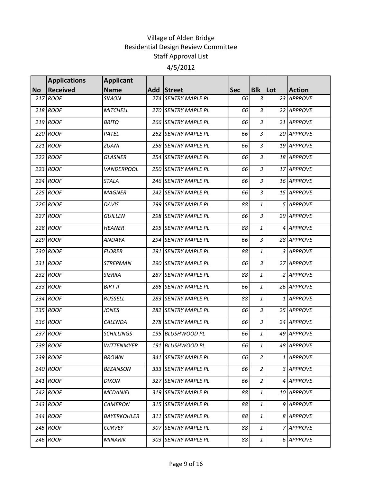|           | <b>Applications</b> | <b>Applicant</b>   |                     |            |                    |               |
|-----------|---------------------|--------------------|---------------------|------------|--------------------|---------------|
| <b>No</b> | <b>Received</b>     | <b>Name</b>        | Add Street          | <b>Sec</b> | <b>Blk</b> Lot     | <b>Action</b> |
|           | 217 ROOF            | <b>SIMON</b>       | 274 SENTRY MAPLE PL | 66         | 3                  | 23 APPROVE    |
|           | 218 ROOF            | <b>MITCHELL</b>    | 270 SENTRY MAPLE PL | 66         | 3                  | 22 APPROVE    |
|           | 219 ROOF            | <b>BRITO</b>       | 266 SENTRY MAPLE PL | 66         | 3                  | 21 APPROVE    |
|           | 220 ROOF            | PATEL              | 262 SENTRY MAPLE PL | 66         | $\overline{3}$     | 20 APPROVE    |
|           | 221 ROOF            | ZUANI              | 258 SENTRY MAPLE PL | 66         | 3                  | 19 APPROVE    |
|           | 222 ROOF            | <b>GLASNER</b>     | 254 SENTRY MAPLE PL | 66         | 3                  | 18 APPROVE    |
|           | 223 ROOF            | <b>VANDERPOOL</b>  | 250 SENTRY MAPLE PL | 66         | 3                  | 17 APPROVE    |
|           | 224 ROOF            | <b>STALA</b>       | 246 SENTRY MAPLE PL | 66         | $\overline{3}$     | 16 APPROVE    |
|           | 225 ROOF            | <b>MAGNER</b>      | 242 SENTRY MAPLE PL | 66         | 3                  | 15 APPROVE    |
|           | 226 ROOF            | <b>DAVIS</b>       | 299 SENTRY MAPLE PL | 88         | 1                  | 5 APPROVE     |
|           | 227 ROOF            | <b>GUILLEN</b>     | 298 SENTRY MAPLE PL | 66         | $\mathfrak{Z}$     | 29 APPROVE    |
|           | 228 ROOF            | <b>HEANER</b>      | 295 SENTRY MAPLE PL | 88         | 1                  | 4 APPROVE     |
|           | 229 ROOF            | ANDAYA             | 294 SENTRY MAPLE PL | 66         | $\overline{3}$     | 28 APPROVE    |
|           | 230 ROOF            | <b>FLORER</b>      | 291 SENTRY MAPLE PL | 88         | $\mathbf{1}$       | 3 APPROVE     |
|           | 231 ROOF            | <b>STREPMAN</b>    | 290 SENTRY MAPLE PL | 66         | $\overline{3}$     | 27 APPROVE    |
|           | 232 ROOF            | <b>SIERRA</b>      | 287 SENTRY MAPLE PL | 88         | 1                  | 2 APPROVE     |
|           | 233 ROOF            | <b>BIRT II</b>     | 286 SENTRY MAPLE PL | 66         | $\mathbf{1}% _{T}$ | 26 APPROVE    |
|           | 234 ROOF            | <b>RUSSELL</b>     | 283 SENTRY MAPLE PL | 88         | 1                  | 1 APPROVE     |
|           | 235 ROOF            | <b>JONES</b>       | 282 SENTRY MAPLE PL | 66         | 3                  | 25 APPROVE    |
|           | 236 ROOF            | CALENDA            | 278 SENTRY MAPLE PL | 66         | 3                  | 24 APPROVE    |
|           | 237 ROOF            | <b>SCHILLINGS</b>  | 195 BLUSHWOOD PL    | 66         | 1                  | 49 APPROVE    |
|           | 238 ROOF            | <b>WITTENMYER</b>  | 191 BLUSHWOOD PL    | 66         | $\mathbf{1}$       | 48 APPROVE    |
|           | 239 ROOF            | <b>BROWN</b>       | 341 SENTRY MAPLE PL | 66         | $\overline{2}$     | 1 APPROVE     |
|           | 240 ROOF            | <b>BEZANSON</b>    | 333 SENTRY MAPLE PL | 66         | $\overline{a}$     | 3 APPROVE     |
|           | 241 ROOF            | <b>DIXON</b>       | 327 SENTRY MAPLE PL | 66         | $\overline{a}$     | 4 APPROVE     |
|           | 242 ROOF            | <b>MCDANIEL</b>    | 319 SENTRY MAPLE PL | 88         | 1                  | 10 APPROVE    |
|           | 243 ROOF            | <b>CAMERON</b>     | 315 SENTRY MAPLE PL | 88         | 1                  | 9 APPROVE     |
|           | 244 ROOF            | <b>BAYERKOHLER</b> | 311 SENTRY MAPLE PL | 88         | $\mathbf{1}$       | 8 APPROVE     |
|           | 245 ROOF            | <b>CURVEY</b>      | 307 SENTRY MAPLE PL | 88         | 1                  | 7 APPROVE     |
|           | 246 ROOF            | <b>MINARIK</b>     | 303 SENTRY MAPLE PL | 88         | 1                  | 6 APPROVE     |
|           |                     |                    |                     |            |                    |               |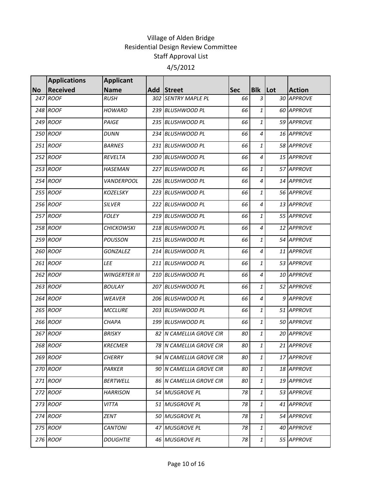|           | <b>Applications</b> | <b>Applicant</b>     |                         |            |                |               |
|-----------|---------------------|----------------------|-------------------------|------------|----------------|---------------|
| <b>No</b> | <b>Received</b>     | <b>Name</b>          | Add Street              | <b>Sec</b> | <b>Blk</b> Lot | <b>Action</b> |
|           | 247 ROOF            | <b>RUSH</b>          | 302 SENTRY MAPLE PL     | 66         | 3              | 30 APPROVE    |
|           | 248 ROOF            | <b>HOWARD</b>        | 239 BLUSHWOOD PL        | 66         | 1              | 60 APPROVE    |
|           | 249 ROOF            | PAIGE                | 235 BLUSHWOOD PL        | 66         | 1              | 59 APPROVE    |
|           | 250 ROOF            | <b>DUNN</b>          | 234 BLUSHWOOD PL        | 66         | 4              | 16 APPROVE    |
|           | 251 ROOF            | <b>BARNES</b>        | 231 BLUSHWOOD PL        | 66         | $\mathbf{1}$   | 58 APPROVE    |
|           | 252 ROOF            | REVELTA              | 230 BLUSHWOOD PL        | 66         | 4              | 15 APPROVE    |
|           | 253 ROOF            | <b>HASEMAN</b>       | 227 BLUSHWOOD PL        | 66         | 1              | 57 APPROVE    |
|           | 254 ROOF            | <b>VANDERPOOL</b>    | 226 BLUSHWOOD PL        | 66         | 4              | 14 APPROVE    |
|           | 255 ROOF            | <b>KOZELSKY</b>      | 223 BLUSHWOOD PL        | 66         | 1              | 56 APPROVE    |
|           | 256 ROOF            | <b>SILVER</b>        | 222 BLUSHWOOD PL        | 66         | $\overline{4}$ | 13 APPROVE    |
|           | 257 ROOF            | <b>FOLEY</b>         | 219 BLUSHWOOD PL        | 66         | 1              | 55 APPROVE    |
|           | 258 ROOF            | <b>CHICKOWSKI</b>    | 218 BLUSHWOOD PL        | 66         | 4              | 12 APPROVE    |
|           | 259 ROOF            | <b>POUSSON</b>       | 215 BLUSHWOOD PL        | 66         | 1              | 54 APPROVE    |
|           | 260 ROOF            | <b>GONZALEZ</b>      | 214 BLUSHWOOD PL        | 66         | 4              | 11 APPROVE    |
|           | 261 ROOF            | LEE                  | 211 BLUSHWOOD PL        | 66         | 1              | 53 APPROVE    |
|           | 262 ROOF            | <b>WINGERTER III</b> | 210 BLUSHWOOD PL        | 66         | 4              | 10 APPROVE    |
|           | 263 ROOF            | <b>BOULAY</b>        | 207 BLUSHWOOD PL        | 66         | 1              | 52 APPROVE    |
|           | 264 ROOF            | <b>WEAVER</b>        | 206 BLUSHWOOD PL        | 66         | 4              | 9 APPROVE     |
|           | 265 ROOF            | <b>MCCLURE</b>       | 203 BLUSHWOOD PL        | 66         | 1              | 51 APPROVE    |
|           | 266 ROOF            | <b>CHAPA</b>         | 199 BLUSHWOOD PL        | 66         | 1              | 50 APPROVE    |
|           | 267 ROOF            | <b>BRISKY</b>        | 82 N CAMELLIA GROVE CIR | 80         | 1              | 20 APPROVE    |
|           | 268 ROOF            | <b>KRECMER</b>       | 78 N CAMELLIA GROVE CIR | 80         | $\mathbf{1}$   | 21 APPROVE    |
|           | 269 ROOF            | <b>CHERRY</b>        | 94 N CAMELLIA GROVE CIR | 80         | $\mathbf{1}$   | 17 APPROVE    |
|           | 270 ROOF            | PARKER               | 90 N CAMELLIA GROVE CIR | 80         | $\mathbf{1}$   | 18 APPROVE    |
|           | 271 ROOF            | <b>BERTWELL</b>      | 86 N CAMELLIA GROVE CIR | 80         | 1              | 19 APPROVE    |
|           | 272 ROOF            | <b>HARRISON</b>      | 54 MUSGROVE PL          | 78         | 1              | 53 APPROVE    |
|           | 273 ROOF            | <b>VITTA</b>         | 51 MUSGROVE PL          | 78         | $\mathbf{1}$   | 41 APPROVE    |
|           | 274 ROOF            | ZENT                 | 50 MUSGROVE PL          | 78         | $\mathbf{1}$   | 54 APPROVE    |
|           | 275 ROOF            | <b>CANTONI</b>       | 47 MUSGROVE PL          | 78         | $\mathbf{1}$   | 40 APPROVE    |
|           | 276 ROOF            | <b>DOUGHTIE</b>      | 46 MUSGROVE PL          | 78         | $\mathbf{1}$   | 55 APPROVE    |
|           |                     |                      |                         |            |                |               |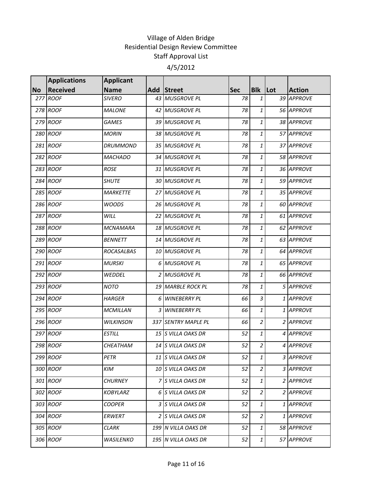|           | <b>Applications</b> | <b>Applicant</b> |   |                     |            |                  |         |               |
|-----------|---------------------|------------------|---|---------------------|------------|------------------|---------|---------------|
| <b>No</b> | <b>Received</b>     | <b>Name</b>      |   | Add Street          | <b>Sec</b> | <b>Blk</b>       | $ $ Lot | <b>Action</b> |
|           | 277 ROOF            | <b>SIVERO</b>    |   | 43 MUSGROVE PL      | 78         | 1                |         | 39 APPROVE    |
|           | 278 ROOF            | <b>MALONE</b>    |   | 42 MUSGROVE PL      | 78         | 1                |         | 56 APPROVE    |
|           | 279 ROOF            | <b>GAMES</b>     |   | 39 MUSGROVE PL      | 78         | 1                |         | 38 APPROVE    |
|           | 280 ROOF            | <b>MORIN</b>     |   | 38 MUSGROVE PL      | 78         | 1                |         | 57 APPROVE    |
|           | 281 ROOF            | <b>DRUMMOND</b>  |   | 35 MUSGROVE PL      | 78         | $\mathbf{1}$     |         | 37 APPROVE    |
|           | 282 ROOF            | <b>MACHADO</b>   |   | 34 MUSGROVE PL      | 78         | $\mathbf{1}$     |         | 58 APPROVE    |
|           | 283 ROOF            | <b>ROSE</b>      |   | 31 MUSGROVE PL      | 78         | 1                |         | 36 APPROVE    |
|           | 284 ROOF            | <b>SHUTE</b>     |   | 30 MUSGROVE PL      | 78         | $\mathbf{1}$     |         | 59 APPROVE    |
|           | 285 ROOF            | <b>MARKETTE</b>  |   | 27 MUSGROVE PL      | 78         | $\mathbf{1}$     |         | 35 APPROVE    |
|           | 286 ROOF            | <b>WOODS</b>     |   | 26 MUSGROVE PL      | 78         | $\mathbf{1}$     |         | 60 APPROVE    |
|           | 287 ROOF            | WILL             |   | 22 MUSGROVE PL      | 78         | 1                |         | 61 APPROVE    |
|           | 288 ROOF            | <b>MCNAMARA</b>  |   | 18 MUSGROVE PL      | 78         | 1                |         | 62 APPROVE    |
|           | 289 ROOF            | <b>BENNETT</b>   |   | 14 MUSGROVE PL      | 78         | $\mathbf{1}$     |         | 63 APPROVE    |
|           | 290 ROOF            | ROCASALBAS       |   | 10 MUSGROVE PL      | 78         | $\mathbf{1}$     |         | 64 APPROVE    |
|           | 291 ROOF            | <b>MURSKI</b>    |   | 6 MUSGROVE PL       | 78         | $\mathbf{1}$     |         | 65 APPROVE    |
|           | 292 ROOF            | WEDDEL           |   | 2 MUSGROVE PL       | 78         | $\mathbf{1}$     |         | 66 APPROVE    |
|           | 293 ROOF            | <b>NOTO</b>      |   | 19 MARBLE ROCK PL   | 78         | $\mathbf{1}$     |         | 5 APPROVE     |
|           | 294 ROOF            | <b>HARGER</b>    | 6 | <b>WINEBERRY PL</b> | 66         | $\overline{3}$   |         | 1 APPROVE     |
|           | 295 ROOF            | <b>MCMILLAN</b>  |   | 3 WINEBERRY PL      | 66         | $\mathbf{1}$     |         | 1 APPROVE     |
|           | 296 ROOF            | <b>WILKINSON</b> |   | 337 SENTRY MAPLE PL | 66         | $\boldsymbol{2}$ |         | 2 APPROVE     |
|           | 297 ROOF            | <b>ESTILL</b>    |   | 15 S VILLA OAKS DR  | 52         | $\mathbf{1}$     |         | 4 APPROVE     |
|           | 298 ROOF            | CHEATHAM         |   | 14 S VILLA OAKS DR  | 52         | $\overline{a}$   |         | 4 APPROVE     |
|           | 299 ROOF            | PETR             |   | 11 S VILLA OAKS DR  | 52         | $\mathbf{1}$     |         | 3 APPROVE     |
|           | 300 ROOF            | KIM              |   | 10 S VILLA OAKS DR  | 52         | $\overline{2}$   |         | 3 APPROVE     |
|           | 301 ROOF            | <b>CHURNEY</b>   |   | 7 S VILLA OAKS DR   | 52         | 1                |         | 2 APPROVE     |
|           | 302 ROOF            | <b>KOBYLARZ</b>  |   | 6 S VILLA OAKS DR   | 52         | $\overline{2}$   |         | 2 APPROVE     |
|           | 303 ROOF            | <b>COOPER</b>    |   | 3 S VILLA OAKS DR   | 52         | $\mathbf{1}$     |         | 1 APPROVE     |
|           | 304 ROOF            | ERWERT           |   | 2 S VILLA OAKS DR   | 52         | $\overline{2}$   |         | 1 APPROVE     |
|           | 305 ROOF            | CLARK            |   | 199 N VILLA OAKS DR | 52         | 1                |         | 58 APPROVE    |
|           | 306 ROOF            | <b>WASILENKO</b> |   | 195 N VILLA OAKS DR | 52         | 1                |         | 57 APPROVE    |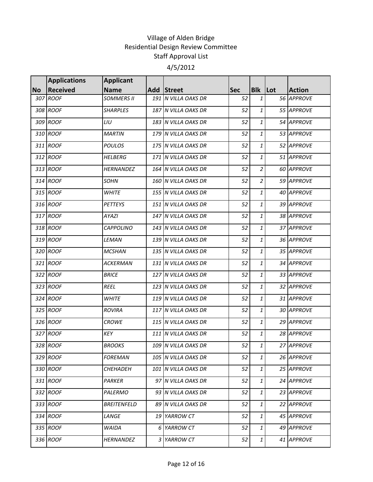|           | <b>Applications</b>         | <b>Applicant</b>                 |    |                                   |                  |                 |         |                             |
|-----------|-----------------------------|----------------------------------|----|-----------------------------------|------------------|-----------------|---------|-----------------------------|
| <b>No</b> | <b>Received</b><br>307 ROOF | <b>Name</b><br><b>SOMMERS II</b> |    | Add Street<br>191 N VILLA OAKS DR | <b>Sec</b><br>52 | <b>Blk</b><br>1 | $ $ Lot | <b>Action</b><br>56 APPROVE |
|           |                             |                                  |    |                                   |                  |                 |         |                             |
|           | 308 ROOF                    | <b>SHARPLES</b>                  |    | 187 N VILLA OAKS DR               | 52               | 1               |         | 55 APPROVE                  |
|           | 309 ROOF                    | LIU                              |    | 183 N VILLA OAKS DR               | 52               | $\mathbf{1}$    |         | 54 APPROVE                  |
|           | 310 ROOF                    | <b>MARTIN</b>                    |    | 179 N VILLA OAKS DR               | 52               | 1               |         | 53 APPROVE                  |
|           | 311 ROOF                    | <b>POULOS</b>                    |    | 175 N VILLA OAKS DR               | 52               | $\mathbf{1}$    |         | 52 APPROVE                  |
|           | 312 ROOF                    | <b>HELBERG</b>                   |    | 171 N VILLA OAKS DR               | 52               | $\mathbf{1}$    |         | 51 APPROVE                  |
|           | 313 ROOF                    | <b>HERNANDEZ</b>                 |    | 164 N VILLA OAKS DR               | 52               | $\overline{a}$  |         | 60 APPROVE                  |
|           | 314 ROOF                    | <b>SOHN</b>                      |    | 160 N VILLA OAKS DR               | 52               | $\overline{2}$  |         | 59 APPROVE                  |
|           | 315 ROOF                    | <b>WHITE</b>                     |    | 155 N VILLA OAKS DR               | 52               | 1               |         | 40 APPROVE                  |
|           | 316 ROOF                    | <b>PETTEYS</b>                   |    | 151 N VILLA OAKS DR               | 52               | $\mathbf{1}$    |         | 39 APPROVE                  |
|           | 317 ROOF                    | <b>AYAZI</b>                     |    | 147 N VILLA OAKS DR               | 52               | 1               |         | 38 APPROVE                  |
|           | 318 ROOF                    | <b>CAPPOLINO</b>                 |    | 143 N VILLA OAKS DR               | 52               | $\mathbf{1}$    |         | 37 APPROVE                  |
|           | 319 ROOF                    | LEMAN                            |    | 139 N VILLA OAKS DR               | 52               | $\mathbf{1}$    |         | 36 APPROVE                  |
|           | 320 ROOF                    | <b>MCSHAN</b>                    |    | 135 N VILLA OAKS DR               | 52               | $\mathbf{1}$    |         | 35 APPROVE                  |
|           | 321 ROOF                    | <b>ACKERMAN</b>                  |    | 131 N VILLA OAKS DR               | 52               | $\mathbf{1}$    |         | 34 APPROVE                  |
|           | 322 ROOF                    | <b>BRICE</b>                     |    | 127 N VILLA OAKS DR               | 52               | $\mathbf{1}$    |         | 33 APPROVE                  |
|           | 323 ROOF                    | <b>REEL</b>                      |    | 123 N VILLA OAKS DR               | 52               | $\mathbf{1}$    |         | 32 APPROVE                  |
|           | 324 ROOF                    | <b>WHITE</b>                     |    | 119 N VILLA OAKS DR               | 52               | $\mathbf{1}$    |         | 31 APPROVE                  |
|           | 325 ROOF                    | <b>ROVIRA</b>                    |    | 117 N VILLA OAKS DR               | 52               | $\mathbf{1}$    |         | 30 APPROVE                  |
|           | 326 ROOF                    | <b>CROWE</b>                     |    | 115 N VILLA OAKS DR               | 52               | 1               |         | 29 APPROVE                  |
|           | 327 ROOF                    | KEY                              |    | 111 N VILLA OAKS DR               | 52               | $\mathbf{1}$    |         | 28 APPROVE                  |
|           | 328 ROOF                    | <b>BROOKS</b>                    |    | 109 N VILLA OAKS DR               | 52               | $\mathbf{1}$    |         | 27 APPROVE                  |
|           | 329 ROOF                    | <b>FOREMAN</b>                   |    | 105 N VILLA OAKS DR               | 52               | $\mathbf{1}$    |         | 26 APPROVE                  |
|           | 330 ROOF                    | <b>CHEHADEH</b>                  |    | 101 N VILLA OAKS DR               | 52               | 1               |         | 25 APPROVE                  |
|           | 331 ROOF                    | PARKER                           |    | 97 N VILLA OAKS DR                | 52               | 1               |         | 24 APPROVE                  |
|           | 332 ROOF                    | PALERMO                          |    | 93 N VILLA OAKS DR                | 52               | $\mathbf{1}$    |         | 23 APPROVE                  |
|           | 333 ROOF                    | <b>BREITENFELD</b>               |    | 89 N VILLA OAKS DR                | 52               | 1               |         | 22 APPROVE                  |
|           | 334 ROOF                    | LANGE                            | 19 | YARROW CT                         | 52               | $\mathbf{1}$    |         | 45 APPROVE                  |
|           | 335 ROOF                    | <b>WAIDA</b>                     | 6  | YARROW CT                         | 52               | 1               |         | 49 APPROVE                  |
|           | 336 ROOF                    | HERNANDEZ                        | 3  | YARROW CT                         | 52               | $\mathbf{1}$    |         | 41 APPROVE                  |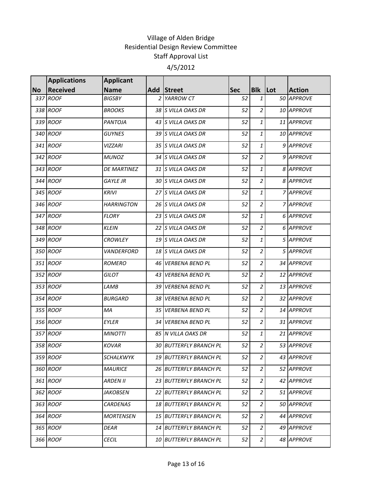|           | <b>Applications</b> | <b>Applicant</b>   |    |                            |            |                |               |
|-----------|---------------------|--------------------|----|----------------------------|------------|----------------|---------------|
| <b>No</b> | <b>Received</b>     | <b>Name</b>        |    | Add Street                 | <b>Sec</b> | <b>Blk</b> Lot | <b>Action</b> |
|           | 337 ROOF            | <b>BIGSBY</b>      |    | 2 YARROW CT                | 52         | $\mathbf{1}$   | 50 APPROVE    |
|           | 338 ROOF            | <b>BROOKS</b>      |    | 38 S VILLA OAKS DR         | 52         | $\overline{c}$ | 10 APPROVE    |
|           | 339 ROOF            | PANTOJA            |    | 43 S VILLA OAKS DR         | 52         | 1              | 11 APPROVE    |
|           | 340 ROOF            | <b>GUYNES</b>      |    | 39 S VILLA OAKS DR         | 52         | $\mathbf{1}$   | 10 APPROVE    |
|           | 341 ROOF            | <b>VIZZARI</b>     |    | 35 S VILLA OAKS DR         | 52         | $\mathbf{1}$   | 9 APPROVE     |
|           | 342 ROOF            | <b>MUNOZ</b>       |    | 34 S VILLA OAKS DR         | 52         | $\overline{a}$ | 9 APPROVE     |
|           | 343 ROOF            | <b>DE MARTINEZ</b> |    | 31 S VILLA OAKS DR         | 52         | $\mathbf{1}$   | 8 APPROVE     |
|           | 344 ROOF            | <b>GAYLE JR</b>    |    | 30 S VILLA OAKS DR         | 52         | $\overline{2}$ | 8 APPROVE     |
|           | 345 ROOF            | <b>KRIVI</b>       |    | 27 S VILLA OAKS DR         | 52         | $\mathbf{1}$   | 7 APPROVE     |
|           | 346 ROOF            | <b>HARRINGTON</b>  |    | 26 S VILLA OAKS DR         | 52         | $\overline{2}$ | 7 APPROVE     |
|           | 347 ROOF            | <b>FLORY</b>       |    | 23 S VILLA OAKS DR         | 52         | $\mathbf{1}$   | 6 APPROVE     |
|           | 348 ROOF            | <b>KLEIN</b>       |    | 22 S VILLA OAKS DR         | 52         | $\overline{2}$ | 6 APPROVE     |
|           | 349 ROOF            | <b>CROWLEY</b>     |    | 19 S VILLA OAKS DR         | 52         | $\mathbf{1}$   | 5 APPROVE     |
|           | 350 ROOF            | VANDERFORD         |    | 18 S VILLA OAKS DR         | 52         | $\overline{a}$ | 5 APPROVE     |
|           | 351 ROOF            | <b>ROMERO</b>      |    | 46 VERBENA BEND PL         | 52         | $\overline{2}$ | 34 APPROVE    |
|           | 352 ROOF            | <b>GILOT</b>       | 43 | <b>VERBENA BEND PL</b>     | 52         | $\overline{c}$ | 12 APPROVE    |
|           | 353 ROOF            | LAMB               | 39 | <b>VERBENA BEND PL</b>     | 52         | $\overline{c}$ | 13 APPROVE    |
|           | 354 ROOF            | <b>BURGARD</b>     | 38 | <b>VERBENA BEND PL</b>     | 52         | $\overline{2}$ | 32 APPROVE    |
|           | 355 ROOF            | MA                 |    | 35 VERBENA BEND PL         | 52         | $\overline{c}$ | 14 APPROVE    |
|           | 356 ROOF            | EYLER              |    | 34 VERBENA BEND PL         | 52         | $\overline{c}$ | 31 APPROVE    |
|           | 357 ROOF            | <b>MINOTTI</b>     |    | 85 N VILLA OAKS DR         | 52         | 1              | 21 APPROVE    |
|           | 358 ROOF            | <b>KOVAR</b>       | 30 | <b>BUTTERFLY BRANCH PL</b> | 52         | $\overline{c}$ | 53 APPROVE    |
|           | 359 ROOF            | <b>SCHALKWYK</b>   |    | 19 BUTTERFLY BRANCH PL     | 52         | $\overline{2}$ | 43 APPROVE    |
|           | 360 ROOF            | <b>MAURICE</b>     |    | 26 BUTTERFLY BRANCH PL     | 52         | $\overline{a}$ | 52 APPROVE    |
|           | 361 ROOF            | <b>ARDEN II</b>    |    | 23 BUTTERFLY BRANCH PL     | 52         | $\overline{a}$ | 42 APPROVE    |
|           | 362 ROOF            | <b>JAKOBSEN</b>    |    | 22 BUTTERFLY BRANCH PL     | 52         | $\overline{2}$ | 51 APPROVE    |
|           | 363 ROOF            | CARDENAS           | 18 | <b>BUTTERFLY BRANCH PL</b> | 52         | $\overline{a}$ | 50 APPROVE    |
|           | 364 ROOF            | <b>MORTENSEN</b>   |    | 15 BUTTERFLY BRANCH PL     | 52         | $\overline{a}$ | 44 APPROVE    |
|           | 365 ROOF            | <b>DEAR</b>        |    | 14 BUTTERFLY BRANCH PL     | 52         | $\overline{a}$ | 49 APPROVE    |
|           | 366 ROOF            | <b>CECIL</b>       | 10 | <b>BUTTERFLY BRANCH PL</b> | 52         | $\overline{a}$ | 48 APPROVE    |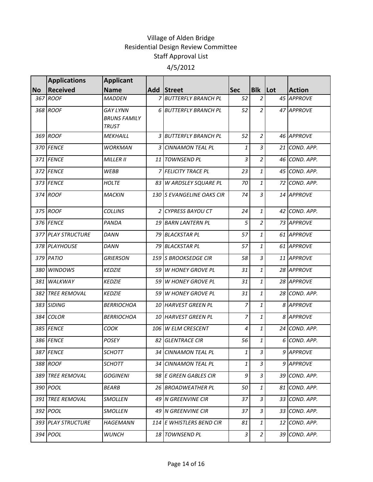|           | <b>Applications</b>  | <b>Applicant</b>                                       |      |                           |                |                |         |               |
|-----------|----------------------|--------------------------------------------------------|------|---------------------------|----------------|----------------|---------|---------------|
| <b>No</b> | <b>Received</b>      | <b>Name</b>                                            |      | Add Street                | <b>Sec</b>     | <b>Blk</b>     | $ $ Lot | <b>Action</b> |
| 367       | <b>ROOF</b>          | <b>MADDEN</b>                                          |      | 7 BUTTERFLY BRANCH PL     | 52             | $\overline{2}$ |         | 45 APPROVE    |
|           | 368 ROOF             | <b>GAY LYNN</b><br><b>BRUNS FAMILY</b><br><b>TRUST</b> |      | 6 BUTTERFLY BRANCH PL     | 52             | $\overline{2}$ |         | 47 APPROVE    |
|           | 369 ROOF             | <b>MEKHAILL</b>                                        |      | 3 BUTTERFLY BRANCH PL     | 52             | $\overline{2}$ |         | 46 APPROVE    |
|           | 370 FENCE            | <b>WORKMAN</b>                                         |      | 3 CINNAMON TEAL PL        | $\mathbf{1}$   | $\overline{3}$ |         | 21 COND. APP. |
|           | 371 FENCE            | <b>MILLER II</b>                                       |      | 11 TOWNSEND PL            | $\mathfrak{Z}$ | $\overline{2}$ |         | 46 COND. APP. |
|           | 372 FENCE            | <b>WEBB</b>                                            |      | 7 FELICITY TRACE PL       | 23             | $\mathbf{1}$   |         | 45 COND. APP. |
|           | 373 FENCE            | <b>HOLTE</b>                                           |      | 83 W ARDSLEY SQUARE PL    | 70             | $\mathbf{1}$   |         | 72 COND. APP. |
|           | 374 ROOF             | <b>MACKIN</b>                                          |      | 130 S EVANGELINE OAKS CIR | 74             | $\overline{3}$ |         | 14 APPROVE    |
|           | 375 ROOF             | <b>COLLINS</b>                                         |      | 2 CYPRESS BAYOU CT        | 24             | $\mathbf{1}$   |         | 42 COND. APP. |
|           | 376 FENCE            | PANDA                                                  |      | 19 BARN LANTERN PL        | 5              | $\overline{2}$ |         | 73 APPROVE    |
|           | 377 PLAY STRUCTURE   | <b>DANN</b>                                            |      | 79 BLACKSTAR PL           | 57             | $\mathbf{1}$   |         | 61 APPROVE    |
|           | 378 PLAYHOUSE        | <b>DANN</b>                                            |      | 79 BLACKSTAR PL           | 57             | $\mathbf{1}$   |         | 61 APPROVE    |
|           | 379 PATIO            | <b>GRIERSON</b>                                        |      | 159 S BROOKSEDGE CIR      | 58             | $\overline{3}$ |         | 11 APPROVE    |
| 380       | <b>WINDOWS</b>       | <b>KEDZIE</b>                                          |      | 59 W HONEY GROVE PL       | 31             | $\mathbf{1}$   |         | 28 APPROVE    |
| 381       | WALKWAY              | <b>KEDZIE</b>                                          |      | 59 W HONEY GROVE PL       | 31             | $\mathbf{1}$   |         | 28 APPROVE    |
|           | 382 TREE REMOVAL     | <b>KEDZIE</b>                                          | 59   | <b>W HONEY GROVE PL</b>   | 31             | $\mathbf{1}$   |         | 28 COND. APP. |
|           | 383 SIDING           | <b>BERRIOCHOA</b>                                      |      | 10 HARVEST GREEN PL       | $\overline{7}$ | $\mathbf{1}$   |         | 8 APPROVE     |
| 384       | <b>COLOR</b>         | <b>BERRIOCHOA</b>                                      |      | 10 HARVEST GREEN PL       | 7              | $\mathbf{1}$   |         | 8 APPROVE     |
|           | 385 FENCE            | COOK                                                   |      | 106 W ELM CRESCENT        | 4              | 1              |         | 24 COND. APP. |
|           | 386 FENCE            | <b>POSEY</b>                                           | 82   | <b>GLENTRACE CIR</b>      | 56             | $\mathbf{1}$   |         | 6 COND. APP.  |
|           | 387 FENCE            | <b>SCHOTT</b>                                          |      | 34 CINNAMON TEAL PL       | $1\vert$       | 3              |         | 9 APPROVE     |
|           | 388 ROOF             | <b>SCHOTT</b>                                          |      | 34 CINNAMON TEAL PL       | $\mathbf{1}$   | 3              |         | 9 APPROVE     |
| 389 I     | <b>TREE REMOVAL</b>  | <b>GOGINENI</b>                                        |      | 98 E GREEN GABLES CIR     | 9              | 3              |         | 39 COND. APP. |
|           | 390 POOL             | <b>BEARB</b>                                           |      | 26 BROADWEATHER PL        | 50             | 1              |         | 81 COND. APP. |
| 391       | <b>TREE REMOVAL</b>  | <b>SMOLLEN</b>                                         | 49 I | N GREENVINE CIR           | 37             | 3              |         | 33 COND. APP. |
|           | 392 POOL             | <b>SMOLLEN</b>                                         |      | 49 N GREENVINE CIR        | 37             | 3              |         | 33 COND. APP. |
|           | 393   PLAY STRUCTURE | HAGEMANN                                               |      | 114 E WHISTLERS BEND CIR  | 81             | $\mathbf{1}$   |         | 12 COND. APP. |
|           | 394 POOL             | <b>WUNCH</b>                                           |      | 18 TOWNSEND PL            | 3              | $\overline{a}$ |         | 39 COND. APP. |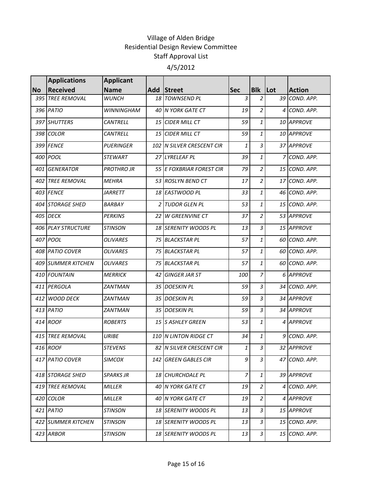|           | <b>Applications</b> | <b>Applicant</b>  |                 |                           |                |                |                |               |
|-----------|---------------------|-------------------|-----------------|---------------------------|----------------|----------------|----------------|---------------|
| <b>No</b> | <b>Received</b>     | <b>Name</b>       | Add             | Street                    | <b>Sec</b>     | <b>Blk</b>     | Lot            | <b>Action</b> |
|           | 395 TREE REMOVAL    | <b>WUNCH</b>      |                 | 18 TOWNSEND PL            | 3              | $\overline{2}$ | 39             | COND. APP.    |
|           | 396 PATIO           | <b>WINNINGHAM</b> |                 | 40 N YORK GATE CT         | 19             | $\overline{2}$ | 4              | COND. APP.    |
|           | 397 SHUTTERS        | CANTRELL          |                 | 15 CIDER MILL CT          | 59             | 1              |                | 10 APPROVE    |
|           | 398 COLOR           | <b>CANTRELL</b>   | 15 <sup>1</sup> | <b>CIDER MILL CT</b>      | 59             | 1              |                | 10 APPROVE    |
|           | 399 FENCE           | <b>PUERINGER</b>  |                 | 102 N SILVER CRESCENT CIR | 1              | 3              |                | 37 APPROVE    |
|           | 400 POOL            | <b>STEWART</b>    |                 | 27 LYRELEAF PL            | 39             | 1              | $\overline{7}$ | COND. APP.    |
|           | 401 GENERATOR       | <b>PROTHRO JR</b> |                 | 55 E FOXBRIAR FOREST CIR  | 79             | $\overline{a}$ |                | 15 COND. APP. |
|           | 402 TREE REMOVAL    | <b>MEHRA</b>      |                 | 53 ROSLYN BEND CT         | 17             | $\overline{2}$ |                | 17 COND. APP. |
|           | 403 FENCE           | <i>JARRETT</i>    |                 | 18 EASTWOOD PL            | 33             | $\mathbf{1}$   |                | 46 COND. APP. |
|           | 404 STORAGE SHED    | BARBAY            |                 | 2 TUDOR GLEN PL           | 53             | 1              |                | 15 COND. APP. |
|           | 405 DECK            | <b>PERKINS</b>    | 22 <sup>1</sup> | <b>W GREENVINE CT</b>     | 37             | $\overline{2}$ |                | 53 APPROVE    |
|           | 406 PLAY STRUCTURE  | <b>STINSON</b>    |                 | 18 SERENITY WOODS PL      | 13             | $\overline{3}$ |                | 15 APPROVE    |
|           | 407 POOL            | OLIVARES          |                 | 75 BLACKSTAR PL           | 57             | 1              | 60 I           | COND. APP.    |
|           | 408 PATIO COVER     | OLIVARES          |                 | 75 BLACKSTAR PL           | 57             | 1              |                | 60 COND. APP. |
|           | 409 SUMMER KITCHEN  | <b>OLIVARES</b>   |                 | 75 BLACKSTAR PL           | 57             | 1              | 60 l           | COND. APP.    |
|           | 410 FOUNTAIN        | <b>MERRICK</b>    | 42              | <b>GINGER JAR ST</b>      | 100            | 7              |                | 6 APPROVE     |
|           | 411 PERGOLA         | ZANTMAN           |                 | 35 DOESKIN PL             | 59             | $\overline{3}$ |                | 34 COND. APP. |
| 412       | <b>WOOD DECK</b>    | ZANTMAN           |                 | 35 DOESKIN PL             | 59             | $\overline{3}$ |                | 34 APPROVE    |
|           | 413 PATIO           | ZANTMAN           |                 | 35 DOESKIN PL             | 59             | 3              |                | 34 APPROVE    |
|           | 414 ROOF            | <b>ROBERTS</b>    |                 | 15 S ASHLEY GREEN         | 53             | 1              |                | 4 APPROVE     |
|           | 415 TREE REMOVAL    | URIBE             |                 | 110 N LINTON RIDGE CT     | 34             | 1              | 9              | COND. APP.    |
|           | 416 ROOF            | <b>STEVENS</b>    |                 | 82 N SILVER CRESCENT CIR  | $\mathbf{1}$   | $\overline{3}$ |                | 32 APPROVE    |
|           | 417 PATIO COVER     | <b>SIMCOX</b>     | 142 I           | <b>GREEN GABLES CIR</b>   | 9              | 3              |                | 47 COND. APP. |
|           | 418 STORAGE SHED    | <b>SPARKS JR</b>  |                 | 18 CHURCHDALE PL          | 7 <sup>1</sup> | 1              |                | 39 APPROVE    |
|           | 419 TREE REMOVAL    | MILLER            |                 | 40 N YORK GATE CT         | 19             | 2              |                | 4 COND. APP.  |
|           | 420 COLOR           | MILLER            |                 | 40 N YORK GATE CT         | 19             | 2              |                | 4 APPROVE     |
|           | 421 PATIO           | <b>STINSON</b>    |                 | 18 SERENITY WOODS PL      | 13             | 3              |                | 15 APPROVE    |
|           | 422 SUMMER KITCHEN  | <b>STINSON</b>    |                 | 18 SERENITY WOODS PL      | 13             | 3              |                | 15 COND. APP. |
|           | 423 ARBOR           | <b>STINSON</b>    |                 | 18 SERENITY WOODS PL      | 13             | 3              |                | 15 COND. APP. |